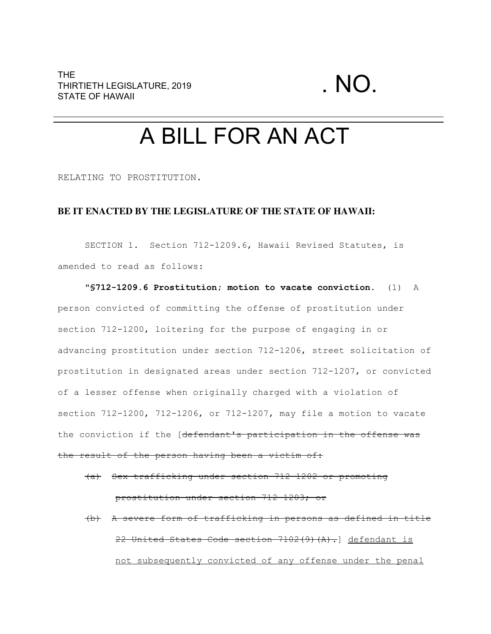## A BILL FOR AN ACT

RELATING TO PROSTITUTION.

## **BE IT ENACTED BY THE LEGISLATURE OF THE STATE OF HAWAII:**

SECTION 1. Section 712-1209.6, Hawaii Revised Statutes, is amended to read as follows:

**"§712-1209.6 Prostitution; motion to vacate conviction.** (1) A person convicted of committing the offense of prostitution under section 712-1200, loitering for the purpose of engaging in or advancing prostitution under section 712-1206, street solicitation of prostitution in designated areas under section 712-1207, or convicted of a lesser offense when originally charged with a violation of section 712-1200, 712-1206, or 712-1207, may file a motion to vacate the conviction if the [defendant's participation in the offense was the result of the person having been a victim of:

(a) Sex trafficking under section 712-1202 or promoting prostitution under section 712-1203; or

(b) A severe form of trafficking in persons as defined in title 22 United States Code section 7102(9)(A).] defendant is not subsequently convicted of any offense under the penal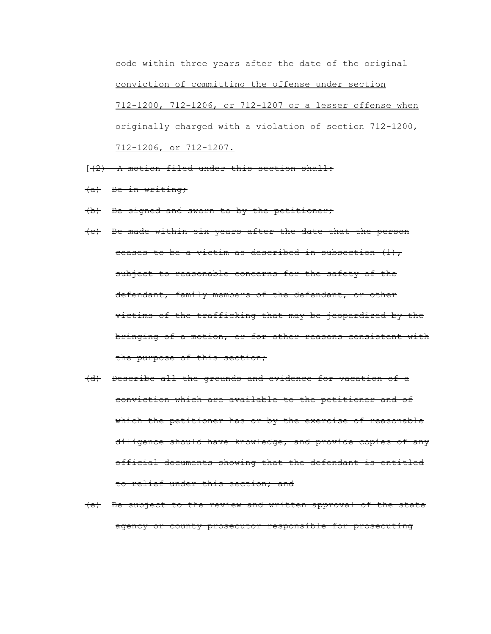code within three years after the date of the original conviction of committing the offense under section 712-1200, 712-1206, or 712-1207 or a lesser offense when originally charged with a violation of section 712-1200, 712-1206, or 712-1207.

- $(1, 2)$  A motion filed under this section shall:
- (a) Be in writing;
- (b) Be signed and sworn to by the petitioner;
- (c) Be made within six years after the date that the person ceases to be a victim as described in subsection  $(1)$ , subject to reasonable concerns for the safety of the defendant, family members of the defendant, or other victims of the trafficking that may be jeopardized by the bringing of a motion, or for other reasons consistent with the purpose of this section;
- (d) Describe all the grounds and evidence for vacation of a conviction which are available to the petitioner and of which the petitioner has or by the exercise of reasonable diligence should have knowledge, and provide copies of any official documents showing that the defendant is entitled to relief under this section; and
- (e) Be subject to the review and written approval of the state agency or county prosecutor responsible for prosecuting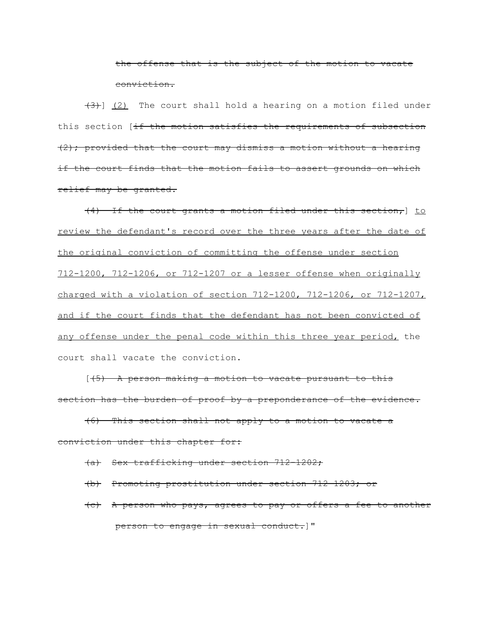the offense that is the subject of the motion to vacate conviction.

 $(3)$ ]  $(2)$  The court shall hold a hearing on a motion filed under this section [if the motion satisfies the requirements of subsection  $(2)$ ; provided that the court may dismiss a motion without a hearing if the court finds that the motion fails to assert grounds on which relief may be granted.

(4) If the court grants a motion filed under this section,] to review the defendant's record over the three years after the date of the original conviction of committing the offense under section 712-1200, 712-1206, or 712-1207 or a lesser offense when originally charged with a violation of section 712-1200, 712-1206, or 712-1207, and if the court finds that the defendant has not been convicted of any offense under the penal code within this three year period, the court shall vacate the conviction.

[(5) A person making a motion to vacate pursuant to this section has the burden of proof by a preponderance of the evidence.

(6) This section shall not apply to a motion to vacate a conviction under this chapter for:

- (a) Sex trafficking under section 712-1202;
- (b) Promoting prostitution under section 712-1203; or
- (c) A person who pays, agrees to pay or offers a fee to another person to engage in sexual conduct.]"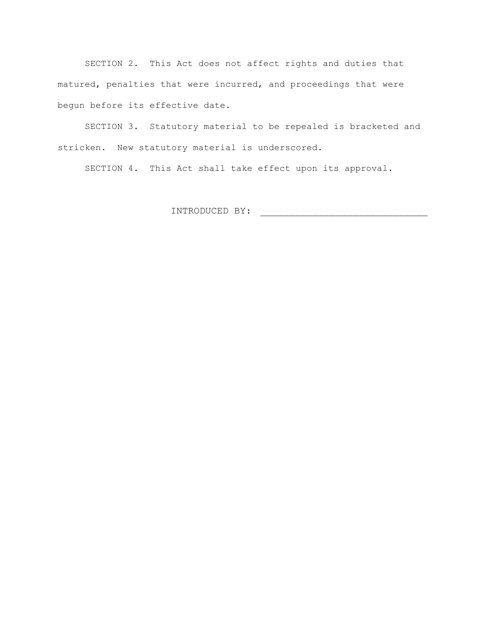SECTION 2. This Act does not affect rights and duties that matured, penalties that were incurred, and proceedings that were begun before its effective date.

SECTION 3. Statutory material to be repealed is bracketed and stricken. New statutory material is underscored.

SECTION 4. This Act shall take effect upon its approval.

INTRODUCED BY: \_\_\_\_\_\_\_\_\_\_\_\_\_\_\_\_\_\_\_\_\_\_\_\_\_\_\_\_\_